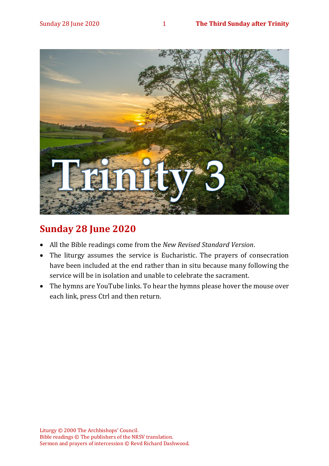

# **Sunday 28 June 2020**

- All the Bible readings come from the *New Revised Standard Version*.
- The liturgy assumes the service is Eucharistic. The prayers of consecration have been included at the end rather than in situ because many following the service will be in isolation and unable to celebrate the sacrament.
- The hymns are YouTube links. To hear the hymns please hover the mouse over each link, press Ctrl and then return.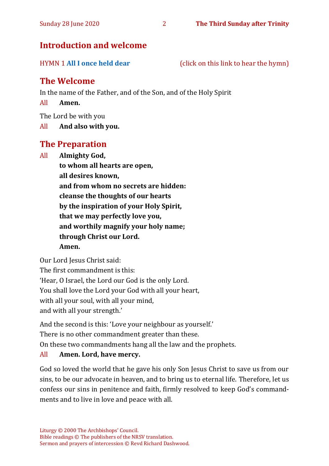# **Introduction and welcome**

HYMN 1 **[All I once held dear](https://www.youtube.com/watch?v=oxpPIa-BskY)** (click on this link to hear the hymn)

# **The Welcome**

In the name of the Father, and of the Son, and of the Holy Spirit

All **Amen.**

The Lord be with you

All **And also with you.**

## **The Preparation**

All **Almighty God,**

**to whom all hearts are open, all desires known, and from whom no secrets are hidden: cleanse the thoughts of our hearts by the inspiration of your Holy Spirit, that we may perfectly love you, and worthily magnify your holy name; through Christ our Lord. Amen.**

Our Lord Jesus Christ said:

The first commandment is this: 'Hear, O Israel, the Lord our God is the only Lord. You shall love the Lord your God with all your heart, with all your soul, with all your mind, and with all your strength.'

And the second is this: 'Love your neighbour as yourself.' There is no other commandment greater than these.

On these two commandments hang all the law and the prophets.

#### All **Amen. Lord, have mercy.**

God so loved the world that he gave his only Son Jesus Christ to save us from our sins, to be our advocate in heaven, and to bring us to eternal life. Therefore, let us confess our sins in penitence and faith, firmly resolved to keep God's commandments and to live in love and peace with all.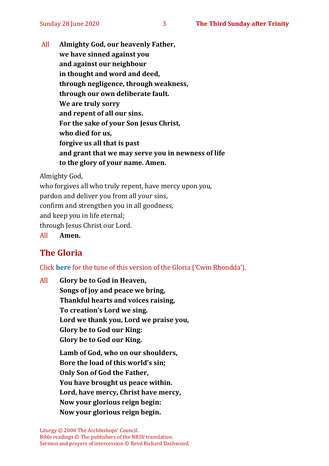All **Almighty God, our heavenly Father, we have sinned against you and against our neighbour in thought and word and deed, through negligence, through weakness, through our own deliberate fault. We are truly sorry and repent of all our sins. For the sake of your Son Jesus Christ, who died for us, forgive us all that is past and grant that we may serve you in newness of life to the glory of your name. Amen.**

Almighty God,

who forgives all who truly repent, have mercy upon you,

pardon and deliver you from all your sins,

confirm and strengthen you in all goodness,

and keep you in life eternal;

through Jesus Christ our Lord.

All **Amen.**

# **The Gloria**

Click **[here](about:blank)** for the tune of this version of the Gloria ('Cwm Rhondda').

All **Glory be to God in Heaven, Songs of joy and peace we bring, Thankful hearts and voices raising, To creation's Lord we sing. Lord we thank you, Lord we praise you, Glory be to God our King: Glory be to God our King. Lamb of God, who on our shoulders, Bore the load of this world's sin; Only Son of God the Father, You have brought us peace within. Lord, have mercy, Christ have mercy, Now your glorious reign begin: Now your glorious reign begin.**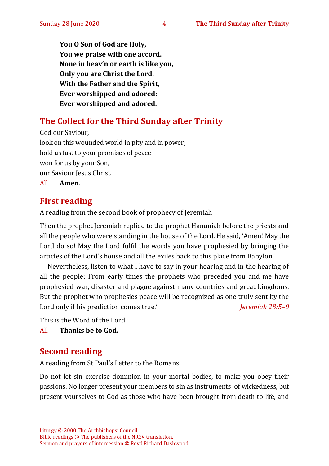**You O Son of God are Holy, You we praise with one accord. None in heav'n or earth is like you, Only you are Christ the Lord. With the Father and the Spirit, Ever worshipped and adored: Ever worshipped and adored.**

# **The Collect for the Third Sunday after Trinity**

God our Saviour, look on this wounded world in pity and in power; hold us fast to your promises of peace won for us by your Son, our Saviour Jesus Christ. All **Amen.**

# **First reading**

A reading from the second book of prophecy of Jeremiah

Then the prophet Jeremiah replied to the prophet Hananiah before the priests and all the people who were standing in the house of the Lord. He said, 'Amen! May the Lord do so! May the Lord fulfil the words you have prophesied by bringing the articles of the Lord's house and all the exiles back to this place from Babylon.

Nevertheless, listen to what I have to say in your hearing and in the hearing of all the people: From early times the prophets who preceded you and me have prophesied war, disaster and plague against many countries and great kingdoms. But the prophet who prophesies peace will be recognized as one truly sent by the Lord only if his prediction comes true.' *Jeremiah 28:5-9* 

This is the Word of the Lord

All **Thanks be to God.**

# **Second reading**

A reading from St Paul's Letter to the Romans

Do not let sin exercise dominion in your mortal bodies, to make you obey their passions. No longer present your members to sin as instruments of wickedness, but present yourselves to God as those who have been brought from death to life, and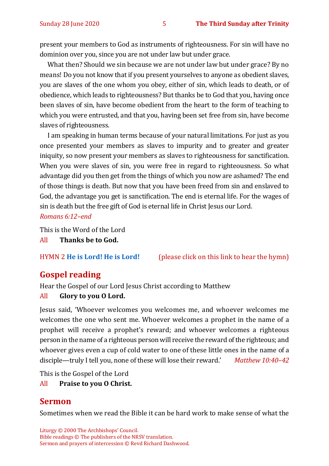present your members to God as instruments of righteousness. For sin will have no dominion over you, since you are not under law but under grace.

What then? Should we sin because we are not under law but under grace? By no means! Do you not know that if you present yourselves to anyone as obedient slaves, you are slaves of the one whom you obey, either of sin, which leads to death, or of obedience, which leads to righteousness? But thanks be to God that you, having once been slaves of sin, have become obedient from the heart to the form of teaching to which you were entrusted, and that you, having been set free from sin, have become slaves of righteousness.

I am speaking in human terms because of your natural limitations. For just as you once presented your members as slaves to impurity and to greater and greater iniquity, so now present your members as slaves to righteousness for sanctification. When you were slaves of sin, you were free in regard to righteousness. So what advantage did you then get from the things of which you now are ashamed? The end of those things is death. But now that you have been freed from sin and enslaved to God, the advantage you get is sanctification. The end is eternal life. For the wages of sin is death but the free gift of God is eternal life in Christ Jesus our Lord. *Romans 6:12–end* 

This is the Word of the Lord

All **Thanks be to God.**

HYMN 2 **[He is Lord! He is Lord!](https://www.youtube.com/watch?v=wuLLcjDCKbg)** (please click on this link to hear the hymn)

# **Gospel reading**

Hear the Gospel of our Lord Jesus Christ according to Matthew

#### All **Glory to you O Lord.**

Jesus said, 'Whoever welcomes you welcomes me, and whoever welcomes me welcomes the one who sent me. Whoever welcomes a prophet in the name of a prophet will receive a prophet's reward; and whoever welcomes a righteous person in the name of a righteous person will receive the reward of the righteous; and whoever gives even a cup of cold water to one of these little ones in the name of a disciple—truly I tell you, none of these will lose their reward.' *Matthew 10:40–42*

This is the Gospel of the Lord

#### All **Praise to you O Christ.**

## **Sermon**

Sometimes when we read the Bible it can be hard work to make sense of what the

Liturgy © 2000 The Archbishops' Council. Bible readings © The publishers of the NRSV translation. Sermon and prayers of intercession © Revd Richard Dashwood.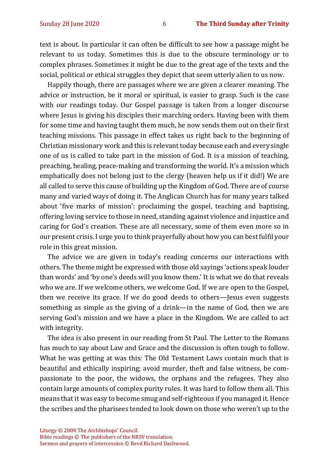text is about. In particular it can often be difficult to see how a passage might be relevant to us today. Sometimes this is due to the obscure terminology or to complex phrases. Sometimes it might be due to the great age of the texts and the social, political or ethical struggles they depict that seem utterly alien to us now.

Happily though, there are passages where we are given a clearer meaning. The advice or instruction, be it moral or spiritual, is easier to grasp. Such is the case with our readings today. Our Gospel passage is taken from a longer discourse where Jesus is giving his disciples their marching orders. Having been with them for some time and having taught them much, he now sends them out on their first teaching missions. This passage in effect takes us right back to the beginning of Christian missionary work and this is relevant today because each and every single one of us is called to take part in the mission of God. It is a mission of teaching, preaching, healing, peace-making and transforming the world. It's a mission which emphatically does not belong just to the clergy (heaven help us if it did!) We are all called to serve this cause of building up the Kingdom of God. There are of course many and varied ways of doing it. The Anglican Church has for many years talked about 'five marks of mission': proclaiming the gospel, teaching and baptising, offering loving service to those in need, standing against violence and injustice and caring for God's creation. These are all necessary, some of them even more so in our present crisis. I urge you to think prayerfully about how you can best fulfil your role in this great mission.

The advice we are given in today's reading concerns our interactions with others. The theme might be expressed with those old sayings 'actions speak louder than words' and 'by one's deeds will you know them.' It is what we do that reveals who we are. If we welcome others, we welcome God. If we are open to the Gospel, then we receive its grace. If we do good deeds to others—Jesus even suggests something as simple as the giving of a drink—in the name of God, then we are serving God's mission and we have a place in the Kingdom. We are called to act with integrity.

The idea is also present in our reading from St Paul. The Letter to the Romans has much to say about Law and Grace and the discussion is often tough to follow. What he was getting at was this: The Old Testament Laws contain much that is beautiful and ethically inspiring; avoid murder, theft and false witness, be compassionate to the poor, the widows, the orphans and the refugees. They also contain large amounts of complex purity rules. It was hard to follow them all. This means that it was easy to become smug and self-righteous if you managed it. Hence the scribes and the pharisees tended to look down on those who weren't up to the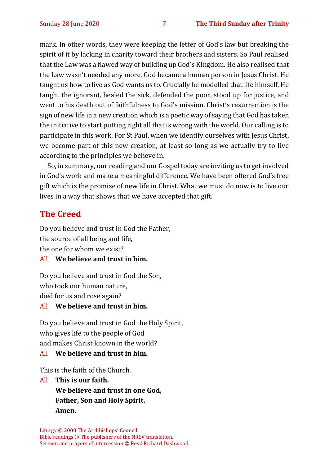mark. In other words, they were keeping the letter of God's law but breaking the spirit of it by lacking in charity toward their brothers and sisters. So Paul realised that the Law was a flawed way of building up God's Kingdom. He also realised that the Law wasn't needed any more. God became a human person in Jesus Christ. He taught us how to live as God wants us to. Crucially he modelled that life himself. He taught the ignorant, healed the sick, defended the poor, stood up for justice, and went to his death out of faithfulness to God's mission. Christ's resurrection is the sign of new life in a new creation which is a poetic way of saying that God has taken the initiative to start putting right all that is wrong with the world. Our calling is to participate in this work. For St Paul, when we identify ourselves with Jesus Christ, we become part of this new creation, at least so long as we actually try to live according to the principles we believe in.

So, in summary, our reading and our Gospel today are inviting us to get involved in God's work and make a meaningful difference. We have been offered God's free gift which is the promise of new life in Christ. What we must do now is to live our lives in a way that shows that we have accepted that gift.

# **The Creed**

Do you believe and trust in God the Father, the source of all being and life, the one for whom we exist?

#### All **We believe and trust in him.**

Do you believe and trust in God the Son, who took our human nature, died for us and rose again?

#### All **We believe and trust in him.**

Do you believe and trust in God the Holy Spirit, who gives life to the people of God and makes Christ known in the world?

#### All **We believe and trust in him.**

This is the faith of the Church.

All **This is our faith. We believe and trust in one God, Father, Son and Holy Spirit. Amen.**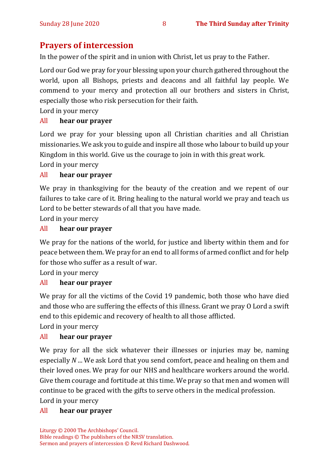# **Prayers of intercession**

In the power of the spirit and in union with Christ, let us pray to the Father.

Lord our God we pray for your blessing upon your church gathered throughout the world, upon all Bishops, priests and deacons and all faithful lay people. We commend to your mercy and protection all our brothers and sisters in Christ, especially those who risk persecution for their faith.

Lord in your mercy

#### All **hear our prayer**

Lord we pray for your blessing upon all Christian charities and all Christian missionaries. We ask you to guide and inspire all those who labour to build up your Kingdom in this world. Give us the courage to join in with this great work.

Lord in your mercy

#### All **hear our prayer**

We pray in thanksgiving for the beauty of the creation and we repent of our failures to take care of it. Bring healing to the natural world we pray and teach us Lord to be better stewards of all that you have made.

Lord in your mercy

#### All **hear our prayer**

We pray for the nations of the world, for justice and liberty within them and for peace between them. We pray for an end to all forms of armed conflict and for help for those who suffer as a result of war.

Lord in your mercy

#### All **hear our prayer**

We pray for all the victims of the Covid 19 pandemic, both those who have died and those who are suffering the effects of this illness. Grant we pray O Lord a swift end to this epidemic and recovery of health to all those afflicted.

Lord in your mercy

#### All **hear our prayer**

We pray for all the sick whatever their illnesses or injuries may be, naming especially *N* ... We ask Lord that you send comfort, peace and healing on them and their loved ones. We pray for our NHS and healthcare workers around the world. Give them courage and fortitude at this time. We pray so that men and women will continue to be graced with the gifts to serve others in the medical profession. Lord in your mercy

#### All **hear our prayer**

Liturgy © 2000 The Archbishops' Council. Bible readings © The publishers of the NRSV translation. Sermon and prayers of intercession © Revd Richard Dashwood.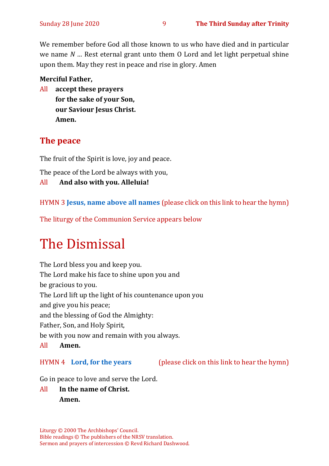We remember before God all those known to us who have died and in particular we name *N …* Rest eternal grant unto them O Lord and let light perpetual shine upon them. May they rest in peace and rise in glory. Amen

#### **Merciful Father,**

All **accept these prayers for the sake of your Son, our Saviour Jesus Christ. Amen.**

# **The peace**

The fruit of the Spirit is love, joy and peace.

The peace of the Lord be always with you,

All **And also with you. Alleluia!**

HYMN 3 **[Jesus, name above all names](https://www.youtube.com/watch?v=JEBAHFFJdW8)** (please click on this link to hear the hymn)

The liturgy of the Communion Service appears below

# The Dismissal

The Lord bless you and keep you. The Lord make his face to shine upon you and be gracious to you. The Lord lift up the light of his countenance upon you and give you his peace; and the blessing of God the Almighty: Father, Son, and Holy Spirit, be with you now and remain with you always. All **Amen.**

HYMN 4 **[Lord, for the years](https://www.youtube.com/watch?v=MkTrFQLy6js)** (please click on this link to hear the hymn)

Go in peace to love and serve the Lord.

# All **In the name of Christ. Amen.**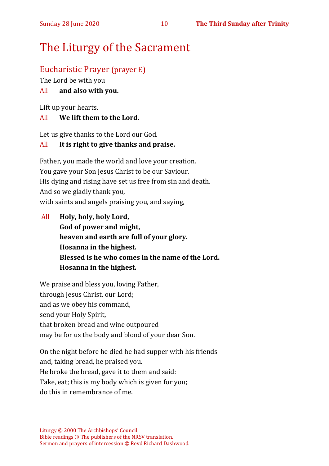# The Liturgy of the Sacrament

# Eucharistic Prayer (prayer E)

The Lord be with you

### All **and also with you.**

Lift up your hearts.

#### All **We lift them to the Lord.**

Let us give thanks to the Lord our God.

### All **It is right to give thanks and praise.**

Father, you made the world and love your creation. You gave your Son Jesus Christ to be our Saviour. His dying and rising have set us free from sin and death. And so we gladly thank you, with saints and angels praising you, and saying,

All **Holy, holy, holy Lord, God of power and might, heaven and earth are full of your glory. Hosanna in the highest. Blessed is he who comes in the name of the Lord. Hosanna in the highest.**

We praise and bless you, loving Father, through Jesus Christ, our Lord; and as we obey his command, send your Holy Spirit, that broken bread and wine outpoured may be for us the body and blood of your dear Son.

On the night before he died he had supper with his friends and, taking bread, he praised you. He broke the bread, gave it to them and said: Take, eat; this is my body which is given for you; do this in remembrance of me.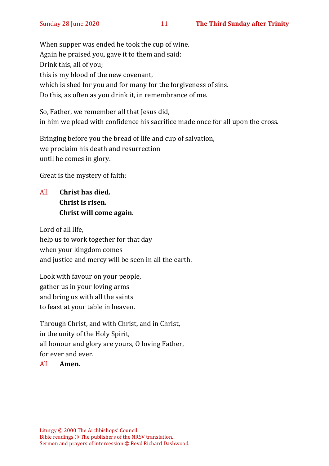When supper was ended he took the cup of wine. Again he praised you, gave it to them and said: Drink this, all of you; this is my blood of the new covenant, which is shed for you and for many for the forgiveness of sins. Do this, as often as you drink it, in remembrance of me.

So, Father, we remember all that Jesus did, in him we plead with confidence his sacrifice made once for all upon the cross.

Bringing before you the bread of life and cup of salvation, we proclaim his death and resurrection until he comes in glory.

Great is the mystery of faith:

All **Christ has died. Christ is risen. Christ will come again.**

Lord of all life, help us to work together for that day when your kingdom comes and justice and mercy will be seen in all the earth.

Look with favour on your people, gather us in your loving arms and bring us with all the saints to feast at your table in heaven.

Through Christ, and with Christ, and in Christ, in the unity of the Holy Spirit, all honour and glory are yours, O loving Father, for ever and ever.

#### All **Amen.**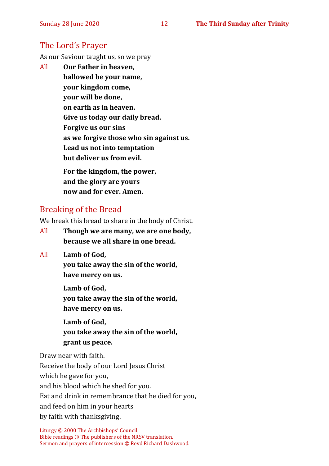# The Lord's Prayer

As our Saviour taught us, so we pray

All **Our Father in heaven, hallowed be your name, your kingdom come, your will be done, on earth as in heaven. Give us today our daily bread. Forgive us our sins as we forgive those who sin against us. Lead us not into temptation but deliver us from evil. For the kingdom, the power,** 

**and the glory are yours now and for ever. Amen.**

# Breaking of the Bread

We break this bread to share in the body of Christ.

- All **Though we are many, we are one body, because we all share in one bread.**
- All **Lamb of God,**

**you take away the sin of the world, have mercy on us.**

**Lamb of God, you take away the sin of the world, have mercy on us.**

**Lamb of God, you take away the sin of the world, grant us peace.**

Draw near with faith. Receive the body of our Lord Jesus Christ which he gave for you, and his blood which he shed for you. Eat and drink in remembrance that he died for you, and feed on him in your hearts by faith with thanksgiving.